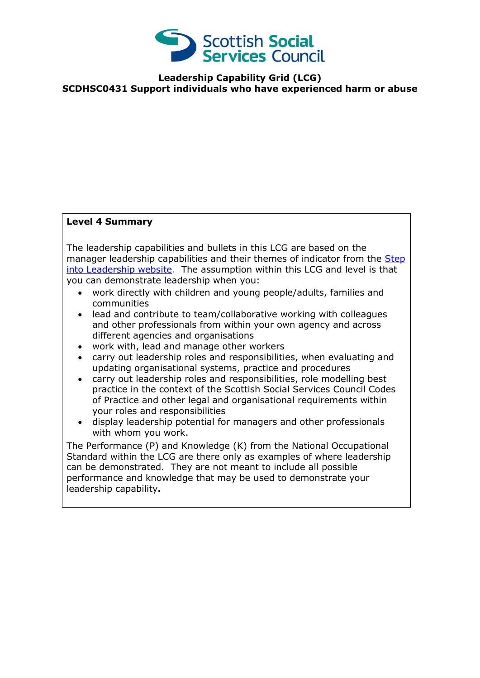

**Leadership Capability Grid (LCG) SCDHSC0431 Support individuals who have experienced harm or abuse**

## **Level 4 Summary**

The leadership capabilities and bullets in this LCG are based on the manager leadership capabilities and their themes of indicator from the Step [into Leadership website.](http://www.stepintoleadership.info/index.html) The assumption within this LCG and level is that you can demonstrate leadership when you:

- work directly with children and young people/adults, families and communities
- lead and contribute to team/collaborative working with colleagues and other professionals from within your own agency and across different agencies and organisations
- work with, lead and manage other workers
- carry out leadership roles and responsibilities, when evaluating and updating organisational systems, practice and procedures
- carry out leadership roles and responsibilities, role modelling best practice in the context of the Scottish Social Services Council Codes of Practice and other legal and organisational requirements within your roles and responsibilities
- display leadership potential for managers and other professionals with whom you work.

The Performance (P) and Knowledge (K) from the National Occupational Standard within the LCG are there only as examples of where leadership can be demonstrated. They are not meant to include all possible performance and knowledge that may be used to demonstrate your leadership capability**.**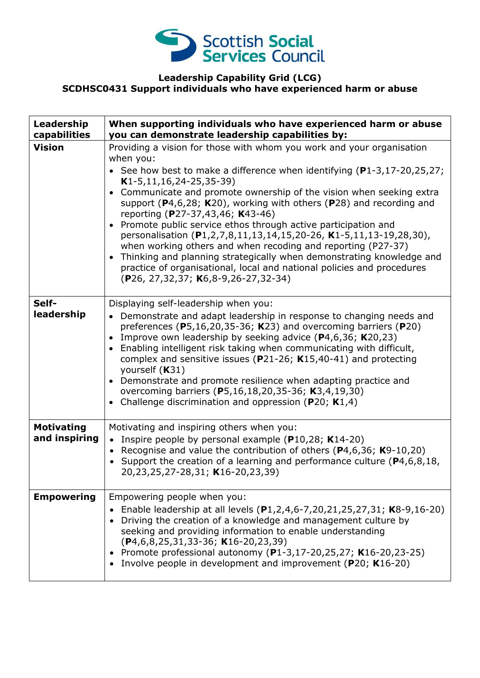

## **Leadership Capability Grid (LCG) SCDHSC0431 Support individuals who have experienced harm or abuse**

| Leadership<br>capabilities         | When supporting individuals who have experienced harm or abuse<br>you can demonstrate leadership capabilities by:                                                                                                                                                                                                                                                                                                                                                                                                                                                                                                                                                                                                                                                                                           |
|------------------------------------|-------------------------------------------------------------------------------------------------------------------------------------------------------------------------------------------------------------------------------------------------------------------------------------------------------------------------------------------------------------------------------------------------------------------------------------------------------------------------------------------------------------------------------------------------------------------------------------------------------------------------------------------------------------------------------------------------------------------------------------------------------------------------------------------------------------|
| <b>Vision</b>                      | Providing a vision for those with whom you work and your organisation<br>when you:<br>• See how best to make a difference when identifying $(P1-3, 17-20, 25, 27)$ ;<br>$K1-5, 11, 16, 24-25, 35-39)$<br>Communicate and promote ownership of the vision when seeking extra<br>support ( $P$ 4,6,28; K20), working with others ( $P$ 28) and recording and<br>reporting (P27-37,43,46; K43-46)<br>Promote public service ethos through active participation and<br>personalisation (P1,2,7,8,11,13,14,15,20-26, K1-5,11,13-19,28,30),<br>when working others and when recoding and reporting (P27-37)<br>Thinking and planning strategically when demonstrating knowledge and<br>$\bullet$<br>practice of organisational, local and national policies and procedures<br>(P26, 27,32,37; K6,8-9,26-27,32-34) |
| Self-<br>leadership                | Displaying self-leadership when you:<br>• Demonstrate and adapt leadership in response to changing needs and<br>preferences ( $P5,16,20,35-36$ ; K23) and overcoming barriers ( $P20$ )<br>Improve own leadership by seeking advice $(P4,6,36; K20,23)$<br>$\bullet$<br>Enabling intelligent risk taking when communicating with difficult,<br>$\bullet$<br>complex and sensitive issues ( $P$ 21-26; K15,40-41) and protecting<br>yourself (K31)<br>Demonstrate and promote resilience when adapting practice and<br>overcoming barriers (P5,16,18,20,35-36; K3,4,19,30)<br>Challenge discrimination and oppression (P20; K1,4)<br>$\bullet$                                                                                                                                                               |
| <b>Motivating</b><br>and inspiring | Motivating and inspiring others when you:<br>• Inspire people by personal example ( $P10,28$ ; K14-20)<br>• Recognise and value the contribution of others (P4,6,36; K9-10,20)<br>• Support the creation of a learning and performance culture ( $P4, 6, 8, 18$ ,<br>20,23,25,27-28,31; K16-20,23,39)                                                                                                                                                                                                                                                                                                                                                                                                                                                                                                       |
| <b>Empowering</b>                  | Empowering people when you:<br>Enable leadership at all levels (P1,2,4,6-7,20,21,25,27,31; K8-9,16-20)<br>Driving the creation of a knowledge and management culture by<br>seeking and providing information to enable understanding<br>$(P4, 6, 8, 25, 31, 33 - 36; K16 - 20, 23, 39)$<br>• Promote professional autonomy (P1-3,17-20,25,27; K16-20,23-25)<br>Involve people in development and improvement (P20; K16-20)                                                                                                                                                                                                                                                                                                                                                                                  |